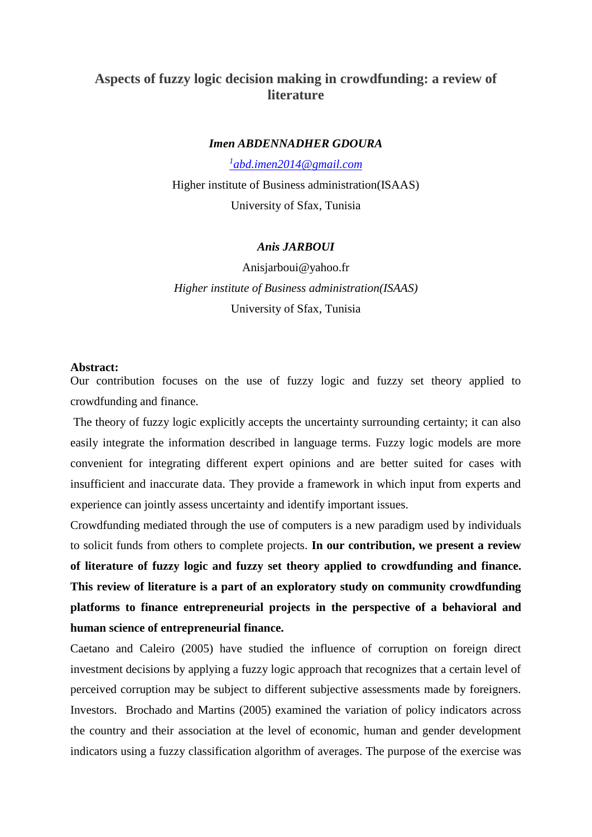# **Aspects of fuzzy logic decision making in crowdfunding: a review of literature**

#### *Imen ABDENNADHER GDOURA*

*1 [abd.imen2014@gmail.com](mailto:1abd.imen2014@gmail.com)*

Higher institute of Business administration(ISAAS) University of Sfax, Tunisia

## *Anis JARBOUI*

Anisjarboui@yahoo.fr *Higher institute of Business administration(ISAAS)* University of Sfax, Tunisia

#### **Abstract:**

Our contribution focuses on the use of fuzzy logic and fuzzy set theory applied to crowdfunding and finance.

The theory of fuzzy logic explicitly accepts the uncertainty surrounding certainty; it can also easily integrate the information described in language terms. Fuzzy logic models are more convenient for integrating different expert opinions and are better suited for cases with insufficient and inaccurate data. They provide a framework in which input from experts and experience can jointly assess uncertainty and identify important issues.

Crowdfunding mediated through the use of computers is a new paradigm used by individuals to solicit funds from others to complete projects. **In our contribution, we present a review of literature of fuzzy logic and fuzzy set theory applied to crowdfunding and finance. This review of literature is a part of an exploratory study on community crowdfunding platforms to finance entrepreneurial projects in the perspective of a behavioral and human science of entrepreneurial finance.**

Caetano and Caleiro (2005) have studied the influence of corruption on foreign direct investment decisions by applying a fuzzy logic approach that recognizes that a certain level of perceived corruption may be subject to different subjective assessments made by foreigners. Investors. Brochado and Martins (2005) examined the variation of policy indicators across the country and their association at the level of economic, human and gender development indicators using a fuzzy classification algorithm of averages. The purpose of the exercise was